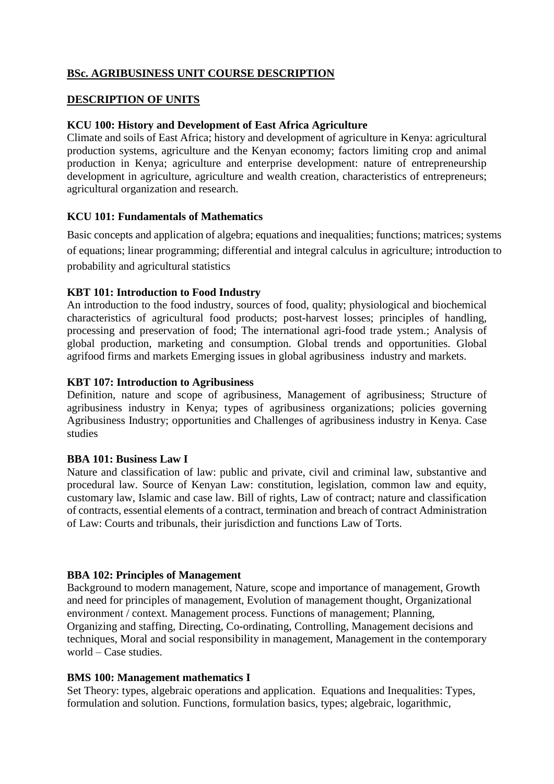# **BSc. AGRIBUSINESS UNIT COURSE DESCRIPTION**

### **DESCRIPTION OF UNITS**

### **KCU 100: History and Development of East Africa Agriculture**

Climate and soils of East Africa; history and development of agriculture in Kenya: agricultural production systems, agriculture and the Kenyan economy; factors limiting crop and animal production in Kenya; agriculture and enterprise development: nature of entrepreneurship development in agriculture, agriculture and wealth creation, characteristics of entrepreneurs; agricultural organization and research.

### **KCU 101: Fundamentals of Mathematics**

Basic concepts and application of algebra; equations and inequalities; functions; matrices; systems of equations; linear programming; differential and integral calculus in agriculture; introduction to probability and agricultural statistics

### **KBT 101: Introduction to Food Industry**

An introduction to the food industry, sources of food, quality; physiological and biochemical characteristics of agricultural food products; post-harvest losses; principles of handling, processing and preservation of food; The international agri-food trade ystem.; Analysis of global production, marketing and consumption. Global trends and opportunities. Global agrifood firms and markets Emerging issues in global agribusiness industry and markets.

#### **KBT 107: Introduction to Agribusiness**

Definition, nature and scope of agribusiness, Management of agribusiness; Structure of agribusiness industry in Kenya; types of agribusiness organizations; policies governing Agribusiness Industry; opportunities and Challenges of agribusiness industry in Kenya. Case studies

#### **BBA 101: Business Law I**

Nature and classification of law: public and private, civil and criminal law, substantive and procedural law. Source of Kenyan Law: constitution, legislation, common law and equity, customary law, Islamic and case law. Bill of rights, Law of contract; nature and classification of contracts, essential elements of a contract, termination and breach of contract Administration of Law: Courts and tribunals, their jurisdiction and functions Law of Torts.

## **BBA 102: Principles of Management**

Background to modern management, Nature, scope and importance of management, Growth and need for principles of management, Evolution of management thought, Organizational environment / context. Management process. Functions of management; Planning, Organizing and staffing, Directing, Co-ordinating, Controlling, Management decisions and techniques, Moral and social responsibility in management, Management in the contemporary world – Case studies.

#### **BMS 100: Management mathematics I**

Set Theory: types, algebraic operations and application. Equations and Inequalities: Types, formulation and solution. Functions, formulation basics, types; algebraic, logarithmic,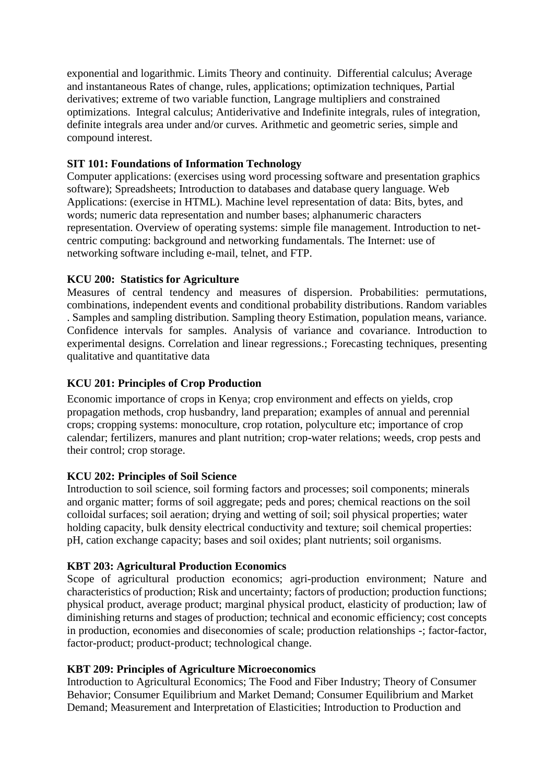exponential and logarithmic. Limits Theory and continuity. Differential calculus; Average and instantaneous Rates of change, rules, applications; optimization techniques, Partial derivatives; extreme of two variable function, Langrage multipliers and constrained optimizations. Integral calculus; Antiderivative and Indefinite integrals, rules of integration, definite integrals area under and/or curves. Arithmetic and geometric series, simple and compound interest.

## **SIT 101: Foundations of Information Technology**

Computer applications: (exercises using word processing software and presentation graphics software); Spreadsheets; Introduction to databases and database query language. Web Applications: (exercise in HTML). Machine level representation of data: Bits, bytes, and words; numeric data representation and number bases; alphanumeric characters representation. Overview of operating systems: simple file management. Introduction to netcentric computing: background and networking fundamentals. The Internet: use of networking software including e-mail, telnet, and FTP.

# **KCU 200: Statistics for Agriculture**

Measures of central tendency and measures of dispersion. Probabilities: permutations, combinations, independent events and conditional probability distributions. Random variables . Samples and sampling distribution. Sampling theory Estimation, population means, variance. Confidence intervals for samples. Analysis of variance and covariance. Introduction to experimental designs. Correlation and linear regressions.; Forecasting techniques, presenting qualitative and quantitative data

# **KCU 201: Principles of Crop Production**

Economic importance of crops in Kenya; crop environment and effects on yields, crop propagation methods, crop husbandry, land preparation; examples of annual and perennial crops; cropping systems: monoculture, crop rotation, polyculture etc; importance of crop calendar; fertilizers, manures and plant nutrition; crop-water relations; weeds, crop pests and their control; crop storage.

## **KCU 202: Principles of Soil Science**

Introduction to soil science, soil forming factors and processes; soil components; minerals and organic matter; forms of soil aggregate; peds and pores; chemical reactions on the soil colloidal surfaces; soil aeration; drying and wetting of soil; soil physical properties; water holding capacity, bulk density electrical conductivity and texture; soil chemical properties: pH, cation exchange capacity; bases and soil oxides; plant nutrients; soil organisms.

## **KBT 203: Agricultural Production Economics**

Scope of agricultural production economics; agri-production environment; Nature and characteristics of production; Risk and uncertainty; factors of production; production functions; physical product, average product; marginal physical product, elasticity of production; law of diminishing returns and stages of production; technical and economic efficiency; cost concepts in production, economies and diseconomies of scale; production relationships -; factor-factor, factor-product; product-product; technological change.

## **KBT 209: Principles of Agriculture Microeconomics**

Introduction to Agricultural Economics; The Food and Fiber Industry; Theory of Consumer Behavior; Consumer Equilibrium and Market Demand; Consumer Equilibrium and Market Demand; Measurement and Interpretation of Elasticities; Introduction to Production and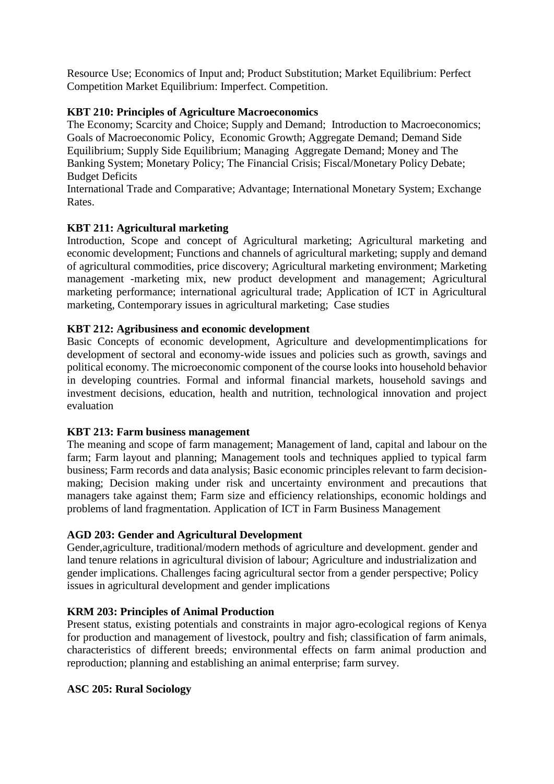Resource Use; Economics of Input and; Product Substitution; Market Equilibrium: Perfect Competition Market Equilibrium: Imperfect. Competition.

## **KBT 210: Principles of Agriculture Macroeconomics**

The Economy; Scarcity and Choice; Supply and Demand; Introduction to Macroeconomics; Goals of Macroeconomic Policy, Economic Growth; Aggregate Demand; Demand Side Equilibrium; Supply Side Equilibrium; Managing Aggregate Demand; Money and The Banking System; Monetary Policy; The Financial Crisis; Fiscal/Monetary Policy Debate; Budget Deficits

International Trade and Comparative; Advantage; International Monetary System; Exchange Rates.

# **KBT 211: Agricultural marketing**

Introduction, Scope and concept of Agricultural marketing; Agricultural marketing and economic development; Functions and channels of agricultural marketing; supply and demand of agricultural commodities, price discovery; Agricultural marketing environment; Marketing management -marketing mix, new product development and management; Agricultural marketing performance; international agricultural trade; Application of ICT in Agricultural marketing, Contemporary issues in agricultural marketing; Case studies

# **KBT 212: Agribusiness and economic development**

Basic Concepts of economic development, Agriculture and developmentimplications for development of sectoral and economy-wide issues and policies such as growth, savings and political economy. The microeconomic component of the course looks into household behavior in developing countries. Formal and informal financial markets, household savings and investment decisions, education, health and nutrition, technological innovation and project evaluation

## **KBT 213: Farm business management**

The meaning and scope of farm management; Management of land, capital and labour on the farm; Farm layout and planning; Management tools and techniques applied to typical farm business; Farm records and data analysis; Basic economic principles relevant to farm decisionmaking; Decision making under risk and uncertainty environment and precautions that managers take against them; Farm size and efficiency relationships, economic holdings and problems of land fragmentation. Application of ICT in Farm Business Management

## **AGD 203: Gender and Agricultural Development**

Gender,agriculture, traditional/modern methods of agriculture and development. gender and land tenure relations in agricultural division of labour; Agriculture and industrialization and gender implications. Challenges facing agricultural sector from a gender perspective; Policy issues in agricultural development and gender implications

## **KRM 203: Principles of Animal Production**

Present status, existing potentials and constraints in major agro-ecological regions of Kenya for production and management of livestock, poultry and fish; classification of farm animals, characteristics of different breeds; environmental effects on farm animal production and reproduction; planning and establishing an animal enterprise; farm survey.

## **ASC 205: Rural Sociology**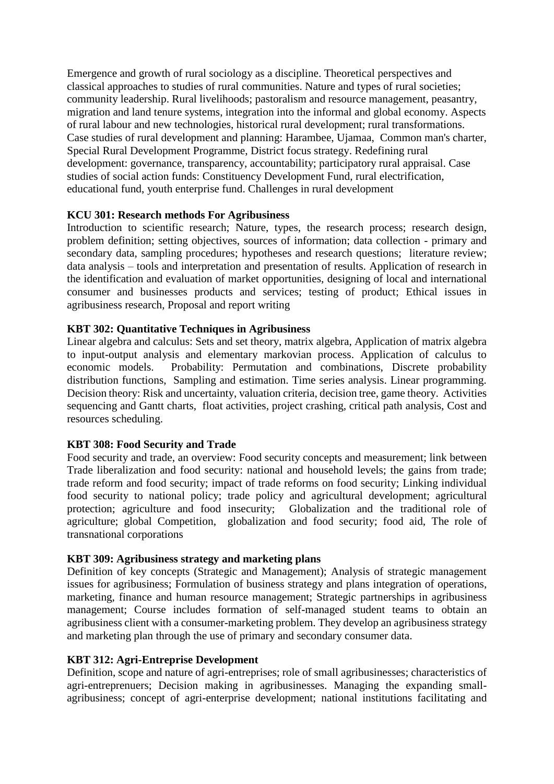Emergence and growth of rural sociology as a discipline. Theoretical perspectives and classical approaches to studies of rural communities. Nature and types of rural societies; community leadership. Rural livelihoods; pastoralism and resource management, peasantry, migration and land tenure systems, integration into the informal and global economy. Aspects of rural labour and new technologies, historical rural development; rural transformations. Case studies of rural development and planning: Harambee, Ujamaa, Common man's charter, Special Rural Development Programme, District focus strategy. Redefining rural development: governance, transparency, accountability; participatory rural appraisal. Case studies of social action funds: Constituency Development Fund, rural electrification, educational fund, youth enterprise fund. Challenges in rural development

### **KCU 301: Research methods For Agribusiness**

Introduction to scientific research; Nature, types, the research process; research design, problem definition; setting objectives, sources of information; data collection - primary and secondary data, sampling procedures; hypotheses and research questions; literature review; data analysis – tools and interpretation and presentation of results. Application of research in the identification and evaluation of market opportunities, designing of local and international consumer and businesses products and services; testing of product; Ethical issues in agribusiness research, Proposal and report writing

### **KBT 302: Quantitative Techniques in Agribusiness**

Linear algebra and calculus: Sets and set theory, matrix algebra, Application of matrix algebra to input-output analysis and elementary markovian process. Application of calculus to economic models. Probability: Permutation and combinations, Discrete probability distribution functions, Sampling and estimation. Time series analysis. Linear programming. Decision theory: Risk and uncertainty, valuation criteria, decision tree, game theory. Activities sequencing and Gantt charts, float activities, project crashing, critical path analysis, Cost and resources scheduling.

#### **KBT 308: Food Security and Trade**

Food security and trade, an overview: Food security concepts and measurement; link between Trade liberalization and food security: national and household levels; the gains from trade; trade reform and food security; impact of trade reforms on food security; Linking individual food security to national policy; trade policy and agricultural development; agricultural protection; agriculture and food insecurity; Globalization and the traditional role of agriculture; global Competition, globalization and food security; food aid, The role of transnational corporations

#### **KBT 309: Agribusiness strategy and marketing plans**

Definition of key concepts (Strategic and Management); Analysis of strategic management issues for agribusiness; Formulation of business strategy and plans integration of operations, marketing, finance and human resource management; Strategic partnerships in agribusiness management; Course includes formation of self-managed student teams to obtain an agribusiness client with a consumer-marketing problem. They develop an agribusiness strategy and marketing plan through the use of primary and secondary consumer data.

## **KBT 312: Agri-Entreprise Development**

Definition, scope and nature of agri-entreprises; role of small agribusinesses; characteristics of agri-entreprenuers; Decision making in agribusinesses. Managing the expanding smallagribusiness; concept of agri-enterprise development; national institutions facilitating and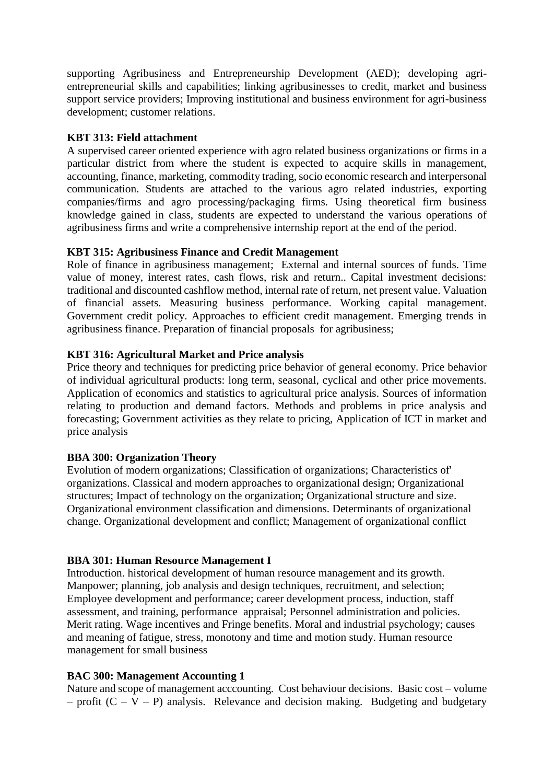supporting Agribusiness and Entrepreneurship Development (AED); developing agrientrepreneurial skills and capabilities; linking agribusinesses to credit, market and business support service providers; Improving institutional and business environment for agri-business development; customer relations.

### **KBT 313: Field attachment**

A supervised career oriented experience with agro related business organizations or firms in a particular district from where the student is expected to acquire skills in management, accounting, finance, marketing, commodity trading, socio economic research and interpersonal communication. Students are attached to the various agro related industries, exporting companies/firms and agro processing/packaging firms. Using theoretical firm business knowledge gained in class, students are expected to understand the various operations of agribusiness firms and write a comprehensive internship report at the end of the period.

### **KBT 315: Agribusiness Finance and Credit Management**

Role of finance in agribusiness management; External and internal sources of funds. Time value of money, interest rates, cash flows, risk and return.. Capital investment decisions: traditional and discounted cashflow method, internal rate of return, net present value. Valuation of financial assets. Measuring business performance. Working capital management. Government credit policy. Approaches to efficient credit management. Emerging trends in agribusiness finance. Preparation of financial proposals for agribusiness;

### **KBT 316: Agricultural Market and Price analysis**

Price theory and techniques for predicting price behavior of general economy. Price behavior of individual agricultural products: long term, seasonal, cyclical and other price movements. Application of economics and statistics to agricultural price analysis. Sources of information relating to production and demand factors. Methods and problems in price analysis and forecasting; Government activities as they relate to pricing, Application of ICT in market and price analysis

#### **BBA 300: Organization Theory**

Evolution of modern organizations; Classification of organizations; Characteristics of' organizations. Classical and modern approaches to organizational design; Organizational structures; Impact of technology on the organization; Organizational structure and size. Organizational environment classification and dimensions. Determinants of organizational change. Organizational development and conflict; Management of organizational conflict

## **BBA 301: Human Resource Management I**

Introduction. historical development of human resource management and its growth. Manpower; planning, job analysis and design techniques, recruitment, and selection; Employee development and performance; career development process, induction, staff assessment, and training, performance appraisal; Personnel administration and policies. Merit rating. Wage incentives and Fringe benefits. Moral and industrial psychology; causes and meaning of fatigue, stress, monotony and time and motion study. Human resource management for small business

#### **BAC 300: Management Accounting 1**

Nature and scope of management acccounting. Cost behaviour decisions. Basic cost – volume – profit  $(C - V - P)$  analysis. Relevance and decision making. Budgeting and budgetary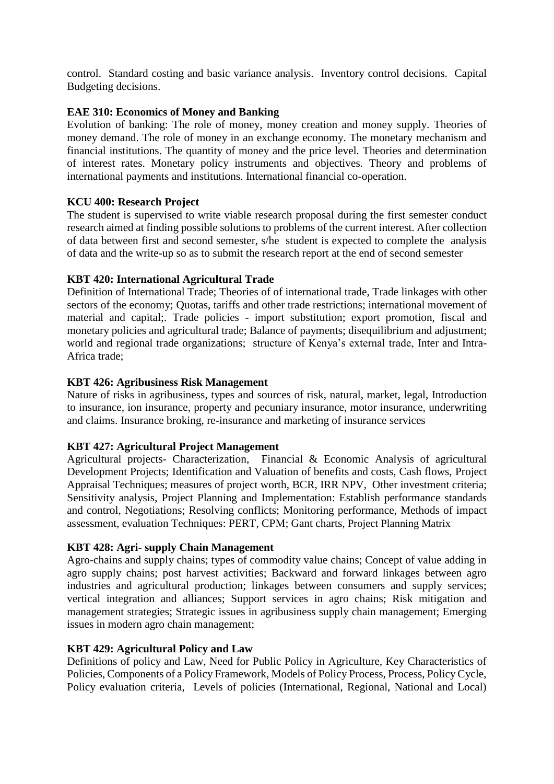control. Standard costing and basic variance analysis. Inventory control decisions. Capital Budgeting decisions.

### **EAE 310: Economics of Money and Banking**

Evolution of banking: The role of money, money creation and money supply. Theories of money demand. The role of money in an exchange economy. The monetary mechanism and financial institutions. The quantity of money and the price level. Theories and determination of interest rates. Monetary policy instruments and objectives. Theory and problems of international payments and institutions. International financial co-operation.

### **KCU 400: Research Project**

The student is supervised to write viable research proposal during the first semester conduct research aimed at finding possible solutions to problems of the current interest. After collection of data between first and second semester, s/he student is expected to complete the analysis of data and the write-up so as to submit the research report at the end of second semester

### **KBT 420: International Agricultural Trade**

Definition of International Trade; Theories of of international trade, Trade linkages with other sectors of the economy; Quotas, tariffs and other trade restrictions; international movement of material and capital;. Trade policies - import substitution; export promotion, fiscal and monetary policies and agricultural trade; Balance of payments; disequilibrium and adjustment; world and regional trade organizations; structure of Kenya's external trade, Inter and Intra-Africa trade;

### **KBT 426: Agribusiness Risk Management**

Nature of risks in agribusiness, types and sources of risk, natural, market, legal, Introduction to insurance, ion insurance, property and pecuniary insurance, motor insurance, underwriting and claims. Insurance broking, re-insurance and marketing of insurance services

#### **KBT 427: Agricultural Project Management**

Agricultural projects- Characterization, Financial & Economic Analysis of agricultural Development Projects; Identification and Valuation of benefits and costs, Cash flows, Project Appraisal Techniques; measures of project worth, BCR, IRR NPV, Other investment criteria; Sensitivity analysis, Project Planning and Implementation: Establish performance standards and control, Negotiations; Resolving conflicts; Monitoring performance, Methods of impact assessment, evaluation Techniques: PERT, CPM; Gant charts, Project Planning Matrix

#### **KBT 428: Agri- supply Chain Management**

Agro-chains and supply chains; types of commodity value chains; Concept of value adding in agro supply chains; post harvest activities; Backward and forward linkages between agro industries and agricultural production; linkages between consumers and supply services; vertical integration and alliances; Support services in agro chains; Risk mitigation and management strategies; Strategic issues in agribusiness supply chain management; Emerging issues in modern agro chain management;

## **KBT 429: Agricultural Policy and Law**

Definitions of policy and Law, Need for Public Policy in Agriculture, Key Characteristics of Policies, Components of a Policy Framework, Models of Policy Process, Process, Policy Cycle, Policy evaluation criteria, Levels of policies (International, Regional, National and Local)